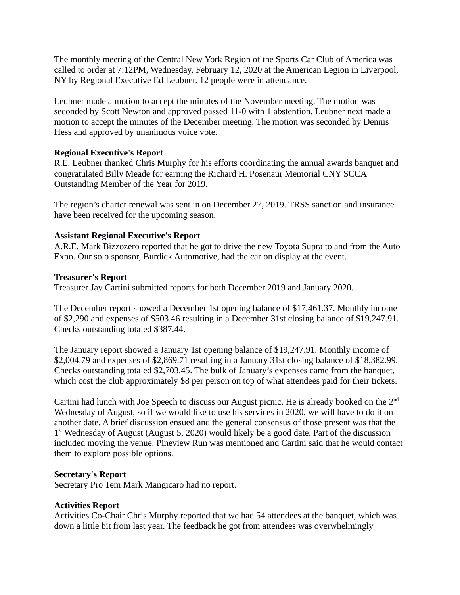The monthly meeting of the Central New York Region of the Sports Car Club of America was called to order at 7:12PM, Wednesday, February 12, 2020 at the American Legion in Liverpool, NY by Regional Executive Ed Leubner. 12 people were in attendance.

Leubner made a motion to accept the minutes of the November meeting. The motion was seconded by Scott Newton and approved passed 11-0 with 1 abstention. Leubner next made a motion to accept the minutes of the December meeting. The motion was seconded by Dennis Hess and approved by unanimous voice vote.

# **Regional Executive's Report**

R.E. Leubner thanked Chris Murphy for his efforts coordinating the annual awards banquet and congratulated Billy Meade for earning the Richard H. Posenaur Memorial CNY SCCA Outstanding Member of the Year for 2019.

The region's charter renewal was sent in on December 27, 2019. TRSS sanction and insurance have been received for the upcoming season.

# **Assistant Regional Executive's Report**

A.R.E. Mark Bizzozero reported that he got to drive the new Toyota Supra to and from the Auto Expo. Our solo sponsor, Burdick Automotive, had the car on display at the event.

# **Treasurer's Report**

Treasurer Jay Cartini submitted reports for both December 2019 and January 2020.

The December report showed a December 1st opening balance of \$17,461.37. Monthly income of \$2,290 and expenses of \$503.46 resulting in a December 31st closing balance of \$19,247.91. Checks outstanding totaled \$387.44.

The January report showed a January 1st opening balance of \$19,247.91. Monthly income of \$2,004.79 and expenses of \$2,869.71 resulting in a January 31st closing balance of \$18,382.99. Checks outstanding totaled \$2,703.45. The bulk of January's expenses came from the banquet, which cost the club approximately \$8 per person on top of what attendees paid for their tickets.

Cartini had lunch with Joe Speech to discuss our August picnic. He is already booked on the 2nd Wednesday of August, so if we would like to use his services in 2020, we will have to do it on another date. A brief discussion ensued and the general consensus of those present was that the 1<sup>st</sup> Wednesday of August (August 5, 2020) would likely be a good date. Part of the discussion included moving the venue. Pineview Run was mentioned and Cartini said that he would contact them to explore possible options.

### **Secretary's Report**

Secretary Pro Tem Mark Mangicaro had no report.

# **Activities Report**

Activities Co-Chair Chris Murphy reported that we had 54 attendees at the banquet, which was down a little bit from last year. The feedback he got from attendees was overwhelmingly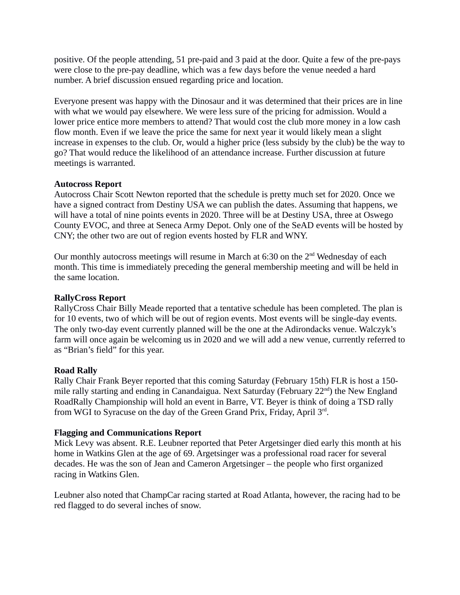positive. Of the people attending, 51 pre-paid and 3 paid at the door. Quite a few of the pre-pays were close to the pre-pay deadline, which was a few days before the venue needed a hard number. A brief discussion ensued regarding price and location.

Everyone present was happy with the Dinosaur and it was determined that their prices are in line with what we would pay elsewhere. We were less sure of the pricing for admission. Would a lower price entice more members to attend? That would cost the club more money in a low cash flow month. Even if we leave the price the same for next year it would likely mean a slight increase in expenses to the club. Or, would a higher price (less subsidy by the club) be the way to go? That would reduce the likelihood of an attendance increase. Further discussion at future meetings is warranted.

# **Autocross Report**

Autocross Chair Scott Newton reported that the schedule is pretty much set for 2020. Once we have a signed contract from Destiny USA we can publish the dates. Assuming that happens, we will have a total of nine points events in 2020. Three will be at Destiny USA, three at Oswego County EVOC, and three at Seneca Army Depot. Only one of the SeAD events will be hosted by CNY; the other two are out of region events hosted by FLR and WNY.

Our monthly autocross meetings will resume in March at  $6:30$  on the  $2<sup>nd</sup>$  Wednesday of each month. This time is immediately preceding the general membership meeting and will be held in the same location.

### **RallyCross Report**

RallyCross Chair Billy Meade reported that a tentative schedule has been completed. The plan is for 10 events, two of which will be out of region events. Most events will be single-day events. The only two-day event currently planned will be the one at the Adirondacks venue. Walczyk's farm will once again be welcoming us in 2020 and we will add a new venue, currently referred to as "Brian's field" for this year.

### **Road Rally**

Rally Chair Frank Beyer reported that this coming Saturday (February 15th) FLR is host a 150 mile rally starting and ending in Canandaigua. Next Saturday (February  $22<sup>nd</sup>$ ) the New England RoadRally Championship will hold an event in Barre, VT. Beyer is think of doing a TSD rally from WGI to Syracuse on the day of the Green Grand Prix, Friday, April 3rd.

### **Flagging and Communications Report**

Mick Levy was absent. R.E. Leubner reported that Peter Argetsinger died early this month at his home in Watkins Glen at the age of 69. Argetsinger was a professional road racer for several decades. He was the son of Jean and Cameron Argetsinger – the people who first organized racing in Watkins Glen.

Leubner also noted that ChampCar racing started at Road Atlanta, however, the racing had to be red flagged to do several inches of snow.